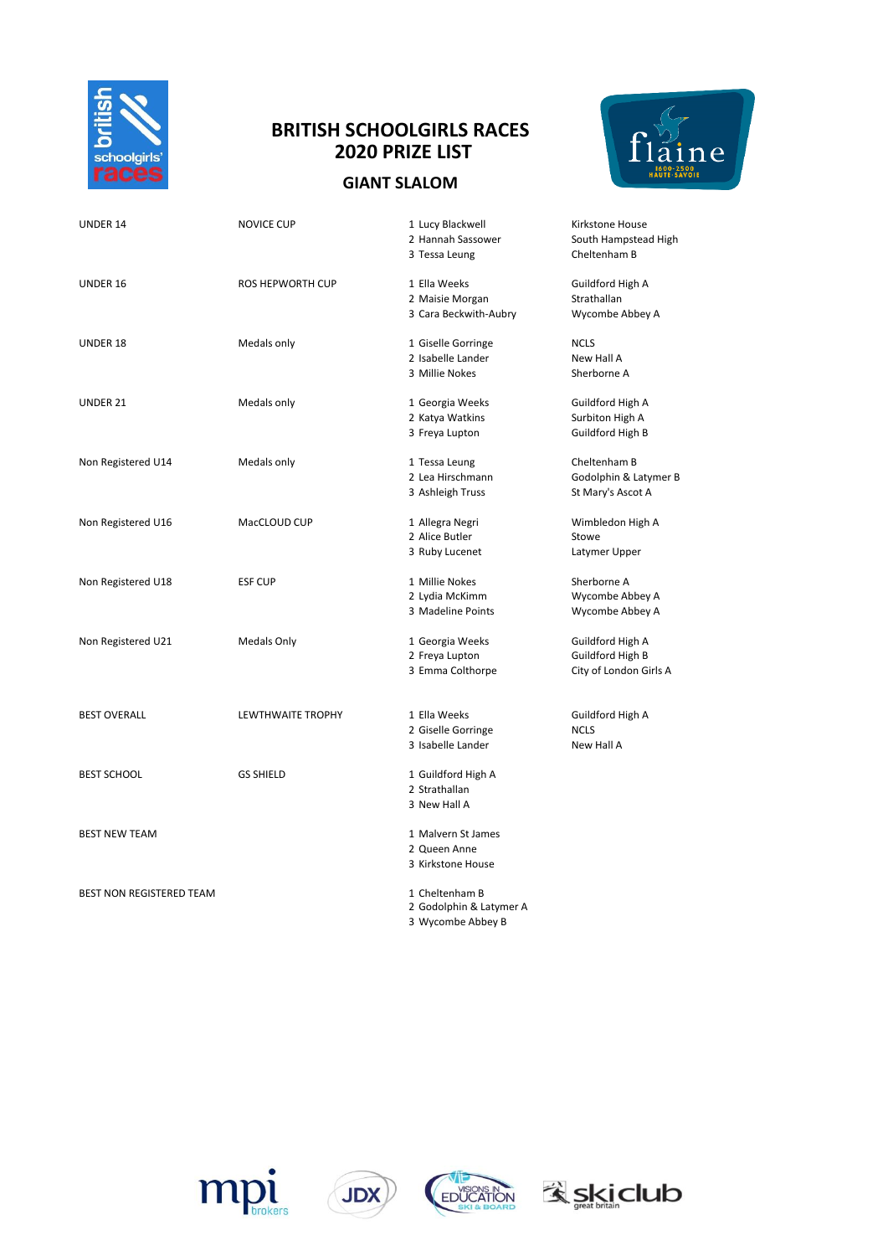

## **BRITISH SCHOOLGIRLS RACES 2020 PRIZE LIST**

## **GIANT SLALOM**



| UNDER 14                 | NOVICE CUP               | 1 Lucy Blackwell        | Kirkstone House        |
|--------------------------|--------------------------|-------------------------|------------------------|
|                          |                          | 2 Hannah Sassower       | South Hampstead High   |
|                          |                          | 3 Tessa Leung           | Cheltenham B           |
| UNDER 16                 | <b>ROS HEPWORTH CUP</b>  | 1 Ella Weeks            | Guildford High A       |
|                          |                          | 2 Maisie Morgan         | Strathallan            |
|                          |                          | 3 Cara Beckwith-Aubry   | Wycombe Abbey A        |
| UNDER 18                 | Medals only              | 1 Giselle Gorringe      | <b>NCLS</b>            |
|                          |                          | 2 Isabelle Lander       | New Hall A             |
|                          |                          | 3 Millie Nokes          | Sherborne A            |
| UNDER 21                 | Medals only              | 1 Georgia Weeks         | Guildford High A       |
|                          |                          | 2 Katya Watkins         | Surbiton High A        |
|                          |                          | 3 Freya Lupton          | Guildford High B       |
| Non Registered U14       | Medals only              | 1 Tessa Leung           | Cheltenham B           |
|                          |                          | 2 Lea Hirschmann        | Godolphin & Latymer B  |
|                          |                          | 3 Ashleigh Truss        | St Mary's Ascot A      |
| Non Registered U16       | MacCLOUD CUP             | 1 Allegra Negri         | Wimbledon High A       |
|                          |                          | 2 Alice Butler          | Stowe                  |
|                          |                          | 3 Ruby Lucenet          | Latymer Upper          |
| Non Registered U18       | <b>ESF CUP</b>           | 1 Millie Nokes          | Sherborne A            |
|                          |                          | 2 Lydia McKimm          | Wycombe Abbey A        |
|                          |                          | 3 Madeline Points       | Wycombe Abbey A        |
| Non Registered U21       | Medals Only              | 1 Georgia Weeks         | Guildford High A       |
|                          |                          | 2 Freya Lupton          | Guildford High B       |
|                          |                          | 3 Emma Colthorpe        | City of London Girls A |
|                          |                          |                         |                        |
| <b>BEST OVERALL</b>      | <b>LEWTHWAITE TROPHY</b> | 1 Ella Weeks            | Guildford High A       |
|                          |                          | 2 Giselle Gorringe      | <b>NCLS</b>            |
|                          |                          | 3 Isabelle Lander       | New Hall A             |
| BEST SCHOOL              | <b>GS SHIELD</b>         | 1 Guildford High A      |                        |
|                          |                          | 2 Strathallan           |                        |
|                          |                          | 3 New Hall A            |                        |
| <b>BEST NEW TEAM</b>     |                          | 1 Malvern St James      |                        |
|                          |                          | 2 Queen Anne            |                        |
|                          |                          | 3 Kirkstone House       |                        |
| BEST NON REGISTERED TEAM |                          | 1 Cheltenham B          |                        |
|                          |                          | 2 Godolphin & Latymer A |                        |
|                          |                          | 3 Wycombe Abbey B       |                        |







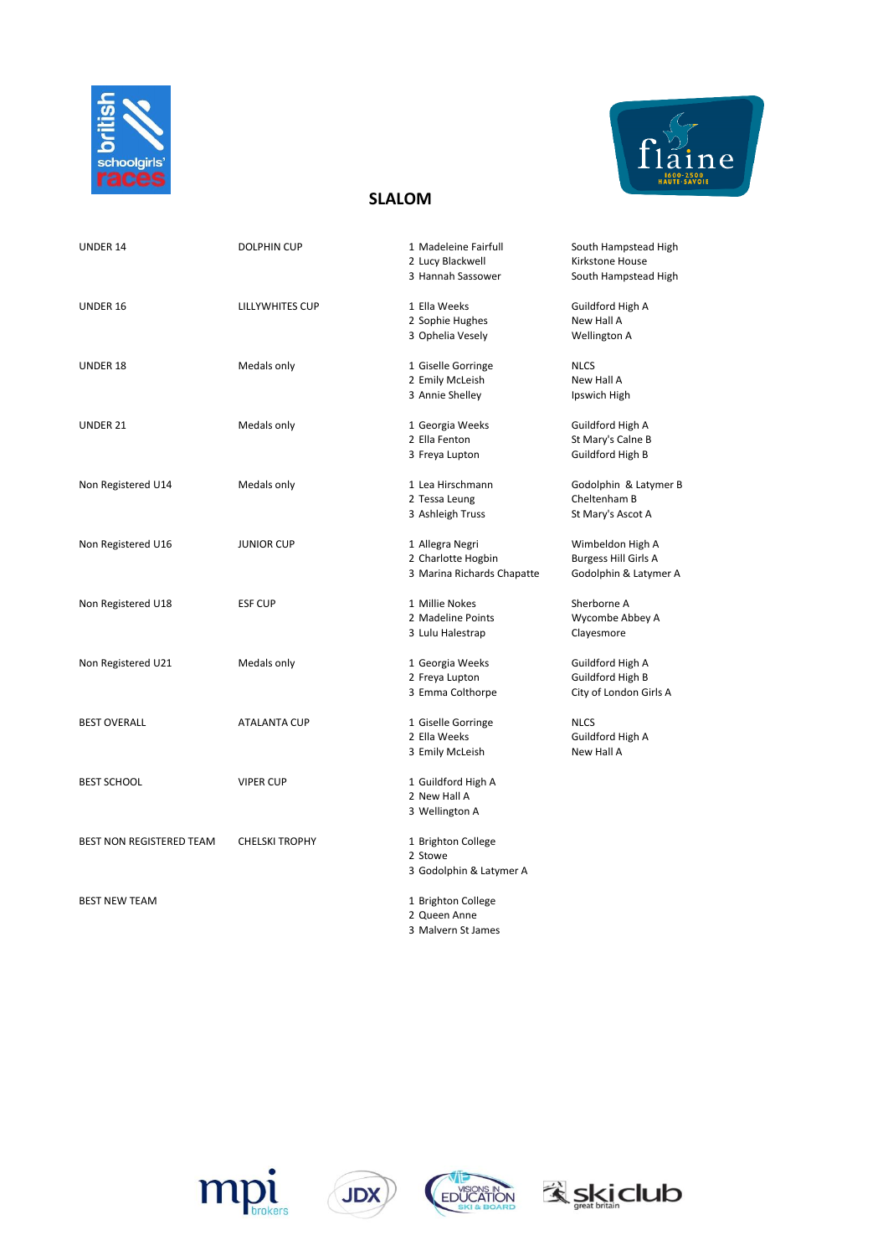



## **SLALOM**

| UNDER 14                 | <b>DOLPHIN CUP</b>    | 1 Madeleine Fairfull<br>2 Lucy Blackwell<br>3 Hannah Sassower       | South Hampstead High<br>Kirkstone House<br>South Hampstead High          |  |
|--------------------------|-----------------------|---------------------------------------------------------------------|--------------------------------------------------------------------------|--|
| UNDER 16                 | LILLYWHITES CUP       | 1 Ella Weeks<br>2 Sophie Hughes<br>3 Ophelia Vesely                 | Guildford High A<br>New Hall A<br>Wellington A                           |  |
| UNDER 18                 | Medals only           | 1 Giselle Gorringe<br>2 Emily McLeish<br>3 Annie Shelley            | <b>NLCS</b><br>New Hall A<br>Ipswich High                                |  |
| UNDER 21                 | Medals only           | 1 Georgia Weeks<br>2 Ella Fenton<br>3 Freya Lupton                  | Guildford High A<br>St Mary's Calne B<br>Guildford High B                |  |
| Non Registered U14       | Medals only           | 1 Lea Hirschmann<br>2 Tessa Leung<br>3 Ashleigh Truss               | Godolphin & Latymer B<br>Cheltenham B<br>St Mary's Ascot A               |  |
| Non Registered U16       | <b>JUNIOR CUP</b>     | 1 Allegra Negri<br>2 Charlotte Hogbin<br>3 Marina Richards Chapatte | Wimbeldon High A<br><b>Burgess Hill Girls A</b><br>Godolphin & Latymer A |  |
| Non Registered U18       | <b>ESF CUP</b>        | 1 Millie Nokes<br>2 Madeline Points<br>3 Lulu Halestrap             | Sherborne A<br>Wycombe Abbey A<br>Clayesmore                             |  |
| Non Registered U21       | Medals only           | 1 Georgia Weeks<br>2 Freya Lupton<br>3 Emma Colthorpe               | Guildford High A<br>Guildford High B<br>City of London Girls A           |  |
| <b>BEST OVERALL</b>      | <b>ATALANTA CUP</b>   | 1 Giselle Gorringe<br>2 Ella Weeks<br>3 Emily McLeish               | <b>NLCS</b><br>Guildford High A<br>New Hall A                            |  |
| <b>BEST SCHOOL</b>       | <b>VIPER CUP</b>      | 1 Guildford High A<br>2 New Hall A<br>3 Wellington A                |                                                                          |  |
| BEST NON REGISTERED TEAM | <b>CHELSKI TROPHY</b> | 1 Brighton College<br>2 Stowe<br>3 Godolphin & Latymer A            |                                                                          |  |
| <b>BEST NEW TEAM</b>     |                       | 1 Brighton College<br>2 Queen Anne<br>3 Malvern St James            |                                                                          |  |